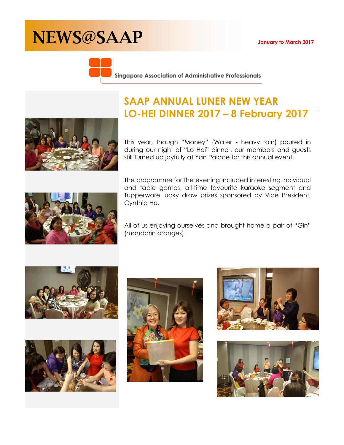# NEWS@SAAP **January to March 2017**



Singapore Association of Administrative Professionals

## **SAAP ANNUAL LUNER NEW YEAR LO-HEI DINNER 2017 – 8 February 2017**

This year, though "Money" (Water - heavy rain) poured in during our night of "Lo Hei" dinner, our members and guests still turned up joyfully at Yan Palace for this annual event.

The programme for the evening included interesting individual and table games, all-time favourite karaoke segment and Tupperware lucky draw prizes sponsored by Vice President, Cynthia Ho.

All of us enjoying ourselves and brought home a pair of "Gin" (mandarin oranges).











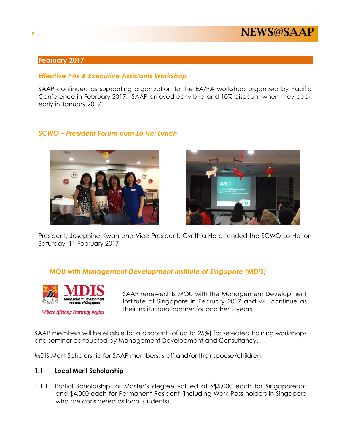

#### **February 2017**

#### *Effective PAs & Executive Assistants Workshop*

SAAP continued as supporting organization to the EA/PA workshop organized by Pacific Conference in February 2017. SAAP enjoyed early bird and 10% discount when they book early in January 2017.

#### *SCWO – President Forum cum Lo Hei Lunch*





President, Josephine Kwan and Vice President, Cynthia Ho attended the SCWO Lo Hei on Saturday, 11 February 2017.

#### *MOU with Management Development Institute of Singapore (MDIS)*



Where lifelong learning begins

SAAP renewed its MOU with the Management Development Institute of Singapore in February 2017 and will continue as their institutional partner for another 2 years.

SAAP members will be eligible for a discount (of up to 25%) for selected training workshops and seminar conducted by Management Development and Consultancy.

MDIS Merit Scholarship for SAAP members, staff and/or their spouse/children:

#### **1.1 Local Merit Scholarship**

1.1.1 Partial Scholarship for Master's degree valued at S\$5,000 each for Singaporeans and \$4,000 each for Permanent Resident (including Work Pass holders in Singapore who are considered as local students).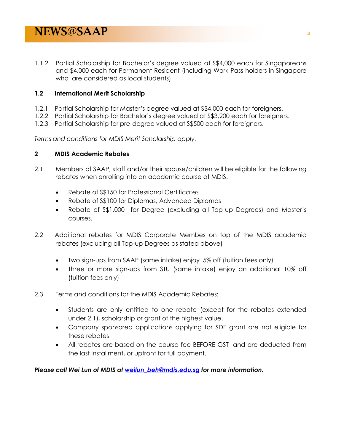1.1.2 Partial Scholarship for Bachelor's degree valued at S\$4,000 each for Singaporeans and \$4,000 each for Permanent Resident (including Work Pass holders in Singapore who are considered as local students).

#### **1.2 International Merit Scholarship**

- 1.2.1 Partial Scholarship for Master's degree valued at S\$4,000 each for foreigners.
- 1.2.2 Partial Scholarship for Bachelor's degree valued at S\$3,200 each for foreigners.
- 1.2.3 Partial Scholarship for pre-degree valued at S\$500 each for foreigners.

*Terms and conditions for MDIS Merit Scholarship apply.*

#### **2 MDIS Academic Rebates**

- 2.1 Members of SAAP, staff and/or their spouse/children will be eligible for the following rebates when enrolling into an academic course at MDIS.
	- Rebate of S\$150 for Professional Certificates
	- Rebate of S\$100 for Diplomas, Advanced Diplomas
	- Rebate of S\$1,000 for Degree (excluding all Top-up Degrees) and Master's courses.
- 2.2 Additional rebates for MDIS Corporate Membes on top of the MDIS academic rebates (excluding all Top-up Degrees as stated above)
	- Two sign-ups from SAAP (same intake) enjoy 5% off (tuition fees only)
	- Three or more sign-ups from STU (same intake) enjoy an additional 10% off (tuition fees only)
- 2.3 Terms and conditions for the MDIS Academic Rebates:
	- Students are only entitled to one rebate (except for the rebates extended under 2.1), scholarship or grant of the highest value.
	- Company sponsored applications applying for SDF grant are not eligible for these rebates
	- All rebates are based on the course fee BEFORE GST and are deducted from the last installment, or upfront for full payment.

*Please call Wei Lun of MDIS at [weilun\\_beh@mdis.edu.sg](mailto:weilun_beh@mdis.edu.sg) for more information.*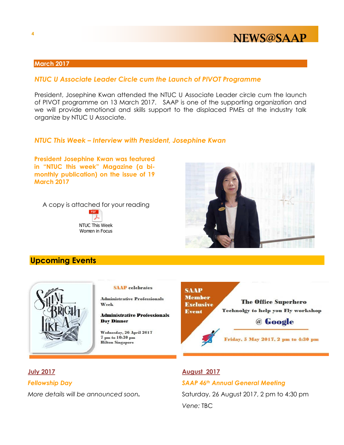### NEWS@SAAP

#### **March 2017**

#### *NTUC U Associate Leader Circle cum the Launch of PIVOT Programme*

President, Josephine Kwan attended the NTUC U Associate Leader circle cum the launch of PIVOT programme on 13 March 2017. SAAP is one of the supporting organization and we will provide emotional and skills support to the displaced PMEs at the industry talk organize by NTUC U Associate.

#### *NTUC This Week – Interview with President, Josephine Kwan*

**President Josephine Kwan was featured in "NTUC this week" Magazine (a bimonthly publication) on the issue of 19 March 2017**

A copy is attached for your reading





### **Upcoming Events**



#### **SAAP** celebrates

**Administrative Professionals** Week

**Administrative Professionals Day Dinner** 

Wednesday, 26 April 2017 7 pm to 10:30 pm **Hilton Singapore** 



**July 2017 August 2017**

#### *Fellowship Day SAAP 46th Annual General Meeting*

*More details will be announced soon*. Saturday, 26 August 2017, 2 pm to 4:30 pm *Vene:* TBC